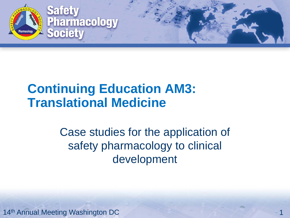

#### **Continuing Education AM3: Translational Medicine**

#### Case studies for the application of safety pharmacology to clinical development

1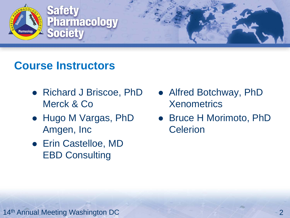

#### **Course Instructors**

- Richard J Briscoe, PhD Merck & Co
- Hugo M Vargas, PhD Amgen, Inc
- Erin Castelloe, MD EBD Consulting
- Alfred Botchway, PhD **Xenometrics**
- Bruce H Morimoto, PhD **Celerion**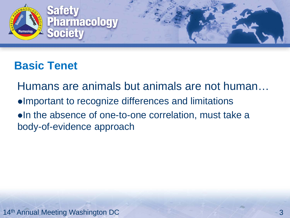

#### **Basic Tenet**

Humans are animals but animals are not human… •Important to recognize differences and limitations •In the absence of one-to-one correlation, must take a body-of-evidence approach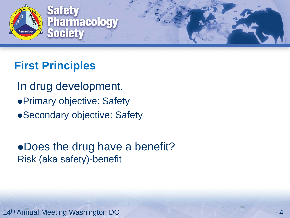

#### **First Principles**

In drug development, Primary objective: Safety Secondary objective: Safety

• Does the drug have a benefit? Risk (aka safety)-benefit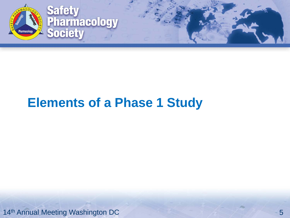

#### **Elements of a Phase 1 Study**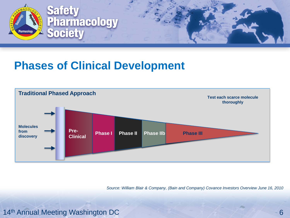

#### **Phases of Clinical Development**



*Source: William Blair & Company, (Bain and Company) Covance Investors Overview June 16, 2010*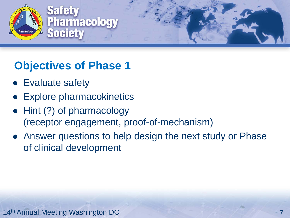

#### **Objectives of Phase 1**

- **•** Evaluate safety
- Explore pharmacokinetics
- Hint (?) of pharmacology (receptor engagement, proof-of-mechanism)
- Answer questions to help design the next study or Phase of clinical development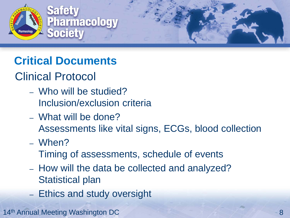

#### **Critical Documents**

### Clinical Protocol

- Who will be studied? Inclusion/exclusion criteria
- What will be done?
	- Assessments like vital signs, ECGs, blood collection
- When?
	- Timing of assessments, schedule of events
- How will the data be collected and analyzed? Statistical plan
- Ethics and study oversight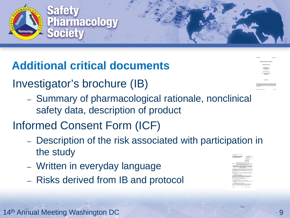

#### **Additional critical documents**

Investigator's brochure (IB)

- Summary of pharmacological rationale, nonclinical safety data, description of product
- Informed Consent Form (ICF)
	- Description of the risk associated with participation in the study
	- Written in everyday language
	- Risks derived from IB and protocol

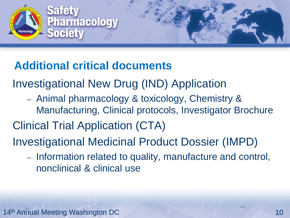

#### **Additional critical documents**

Investigational New Drug (IND) Application

- Animal pharmacology & toxicology, Chemistry & Manufacturing, Clinical protocols, Investigator Brochure
- Clinical Trial Application (CTA)
- Investigational Medicinal Product Dossier (IMPD)
	- Information related to quality, manufacture and control, nonclinical & clinical use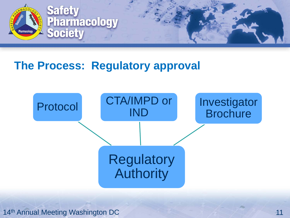

#### **The Process: Regulatory approval**

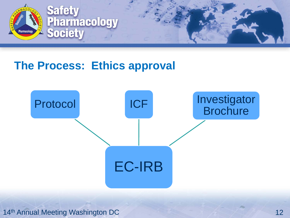

#### **The Process: Ethics approval**

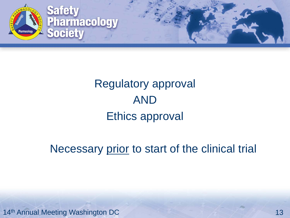

## Regulatory approval AND Ethics approval

#### Necessary prior to start of the clinical trial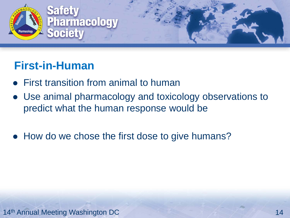

#### **First-in-Human**

- First transition from animal to human
- Use animal pharmacology and toxicology observations to predict what the human response would be
- How do we chose the first dose to give humans?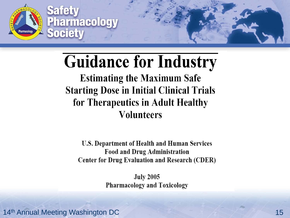

# **Guidance for Industry**

**Estimating the Maximum Safe Starting Dose in Initial Clinical Trials** for Therapeutics in Adult Healthy **Volunteers** 

U.S. Department of Health and Human Services Food and Drug Administration **Center for Drug Evaluation and Research (CDER)** 

> **July 2005 Pharmacology and Toxicology**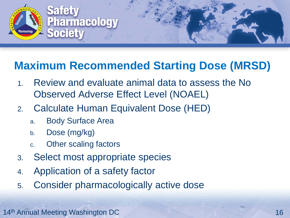

#### **Maximum Recommended Starting Dose (MRSD)**

- 1. Review and evaluate animal data to assess the No Observed Adverse Effect Level (NOAEL)
- 2. Calculate Human Equivalent Dose (HED)
	- a. Body Surface Area
	- b. Dose (mg/kg)
	- c. Other scaling factors
- 3. Select most appropriate species
- 4. Application of a safety factor
- 5. Consider pharmacologically active dose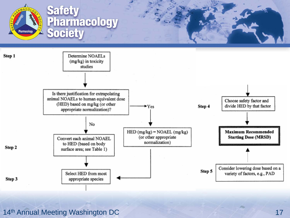



14th Annual Meeting Washington DC 17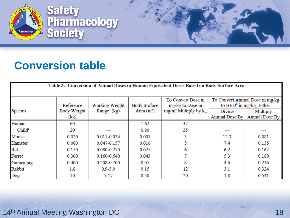

#### **Conversion table**

| Table 3: Conversion of Animal Doses to Human Equivalent Doses Based on Body Surface Area |             |                             |                    |                                 |                       |                            |  |
|------------------------------------------------------------------------------------------|-------------|-----------------------------|--------------------|---------------------------------|-----------------------|----------------------------|--|
|                                                                                          |             |                             |                    |                                 |                       |                            |  |
|                                                                                          |             |                             | To Convert Dose in | To Convert Animal Dose in mg/kg |                       |                            |  |
|                                                                                          | Reference   | Working Weight              | Body Surface       | $mg/kg$ to Dose in              |                       | to $HEDb$ in mg/kg, Either |  |
| <b>Species</b>                                                                           | Body Weight | Range <sup>a</sup> ( $kg$ ) | Area $(m^2)$       | $mg/m^2$ Multiply by $k_m$      | Divide                | Multiply                   |  |
|                                                                                          | (kg)        |                             |                    |                                 | <b>Animal Dose By</b> | Animal Dose By             |  |
| Human                                                                                    | 60          |                             | 1.62               | 37                              |                       |                            |  |
| Child <sup>c</sup>                                                                       | 20          |                             | 0.80               | 25                              |                       |                            |  |
| Mouse                                                                                    | 0.020       | $0.011 - 0.034$             | 0.007              |                                 | 12.3                  | 0.081                      |  |
| Hamster                                                                                  | 0.080       | 0.047-0.157                 | 0.016              |                                 | 7.4                   | 0.135                      |  |
| Rat                                                                                      | 0.150       | 0.080-0.270                 | 0.025              | 6                               | 6.2                   | 0.162                      |  |
| Ferret                                                                                   | 0.300       | 0.160-0.540                 | 0.043              |                                 | 5.3                   | 0.189                      |  |
| Guinea pig                                                                               | 0.400       | 0.208-0.700                 | 0.05               | 8                               | 4.6                   | 0.216                      |  |
| Rabbit                                                                                   | 1.8         | $0.9 - 3.0$                 | 0.15               | 12                              | 3.1                   | 0.324                      |  |
| Dog                                                                                      | 10          | $5 - 17$                    | 0.50               | 20                              | 1.8                   | 0.541                      |  |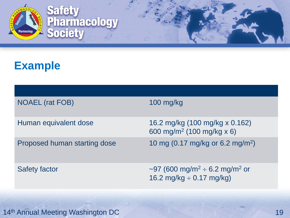

#### **Example**

| <b>NOAEL (rat FOB)</b>       | $100$ mg/kg                                                                            |
|------------------------------|----------------------------------------------------------------------------------------|
| Human equivalent dose        | 16.2 mg/kg (100 mg/kg x 0.162)<br>600 mg/m <sup>2</sup> (100 mg/kg x 6)                |
| Proposed human starting dose | 10 mg (0.17 mg/kg or 6.2 mg/m <sup>2</sup> )                                           |
| <b>Safety factor</b>         | ~97 (600 mg/m <sup>2</sup> ÷ 6.2 mg/m <sup>2</sup> or<br>16.2 mg/kg $\div$ 0.17 mg/kg) |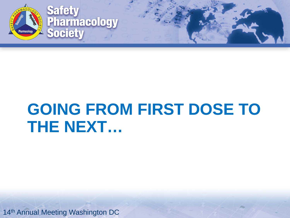

## **GOING FROM FIRST DOSE TO THE NEXT…**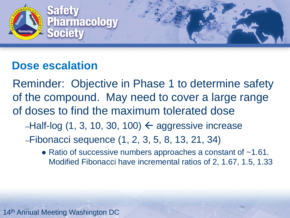

#### **Dose escalation**

Reminder: Objective in Phase 1 to determine safety of the compound. May need to cover a large range of doses to find the maximum tolerated dose

- $-$ Half-log (1, 3, 10, 30, 100)  $\leftarrow$  aggressive increase
- –Fibonacci sequence (1, 2, 3, 5, 8, 13, 21, 34)
	- Ratio of successive numbers approaches a constant of  $~1.61$ . Modified Fibonacci have incremental ratios of 2, 1.67, 1.5, 1.33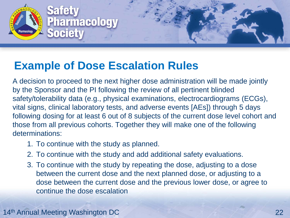

#### **Example of Dose Escalation Rules**

A decision to proceed to the next higher dose administration will be made jointly by the Sponsor and the PI following the review of all pertinent blinded safety/tolerability data (e.g., physical examinations, electrocardiograms (ECGs), vital signs, clinical laboratory tests, and adverse events [AEs]) through 5 days following dosing for at least 6 out of 8 subjects of the current dose level cohort and those from all previous cohorts. Together they will make one of the following determinations:

- 1. To continue with the study as planned.
- 2. To continue with the study and add additional safety evaluations.
- 3. To continue with the study by repeating the dose, adjusting to a dose between the current dose and the next planned dose, or adjusting to a dose between the current dose and the previous lower dose, or agree to continue the dose escalation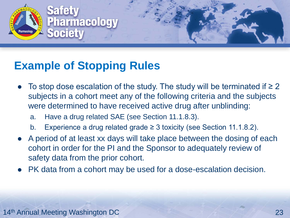

#### **Example of Stopping Rules**

- To stop dose escalation of the study. The study will be terminated if  $\geq 2$ subjects in a cohort meet any of the following criteria and the subjects were determined to have received active drug after unblinding:
	- a. Have a drug related SAE (see Section 11.1.8.3).
	- b. Experience a drug related grade  $\geq$  3 toxicity (see Section 11.1.8.2).
- A period of at least xx days will take place between the dosing of each cohort in order for the PI and the Sponsor to adequately review of safety data from the prior cohort.
- PK data from a cohort may be used for a dose-escalation decision.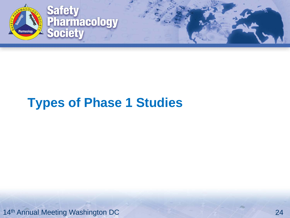

#### **Types of Phase 1 Studies**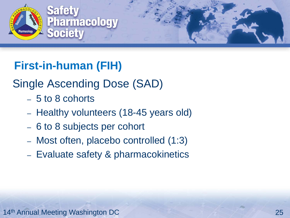

#### **First-in-human (FIH)**

#### Single Ascending Dose (SAD)

- 5 to 8 cohorts
- Healthy volunteers (18-45 years old)
- 6 to 8 subjects per cohort
- Most often, placebo controlled (1:3)
- Evaluate safety & pharmacokinetics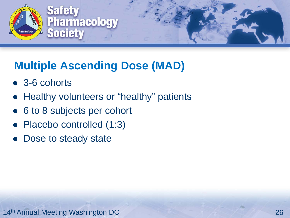

#### **Multiple Ascending Dose (MAD)**

- 3-6 cohorts
- Healthy volunteers or "healthy" patients
- 6 to 8 subjects per cohort
- Placebo controlled (1:3)
- Dose to steady state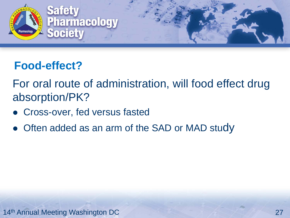

#### **Food-effect?**

For oral route of administration, will food effect drug absorption/PK?

- Cross-over, fed versus fasted
- Often added as an arm of the SAD or MAD study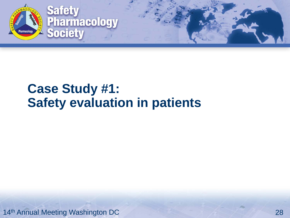

#### **Case Study #1: Safety evaluation in patients**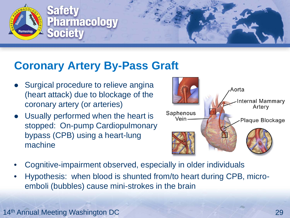

#### **Coronary Artery By-Pass Graft**

- Surgical procedure to relieve angina (heart attack) due to blockage of the coronary artery (or arteries)
- Usually performed when the heart is stopped: On-pump Cardiopulmonary bypass (CPB) using a heart-lung machine



- Cognitive-impairment observed, especially in older individuals
- Hypothesis: when blood is shunted from/to heart during CPB, microemboli (bubbles) cause mini-strokes in the brain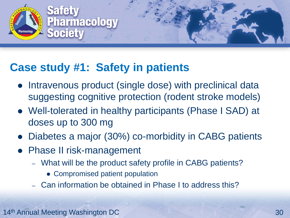

#### **Case study #1: Safety in patients**

- Intravenous product (single dose) with preclinical data suggesting cognitive protection (rodent stroke models)
- Well-tolerated in healthy participants (Phase I SAD) at doses up to 300 mg
- Diabetes a major (30%) co-morbidity in CABG patients
- Phase II risk-management
	- What will be the product safety profile in CABG patients?
		- Compromised patient population
	- Can information be obtained in Phase I to address this?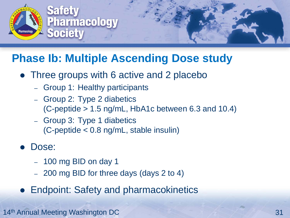

#### **Phase Ib: Multiple Ascending Dose study**

- Three groups with 6 active and 2 placebo
	- Group 1: Healthy participants
	- Group 2: Type 2 diabetics (C-peptide > 1.5 ng/mL, HbA1c between 6.3 and 10.4)
	- Group 3: Type 1 diabetics (C-peptide < 0.8 ng/mL, stable insulin)
- Dose:
	- 100 mg BID on day 1
	- 200 mg BID for three days (days 2 to 4)
- **Endpoint: Safety and pharmacokinetics**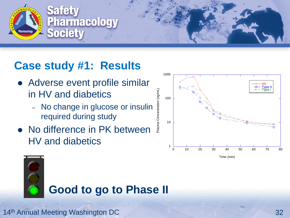

#### **Case study #1: Results**

- Adverse event profile similar in HV and diabetics
	- No change in glucose or insulin required during study
- No difference in PK between HV and diabetics





#### **Good to go to Phase II**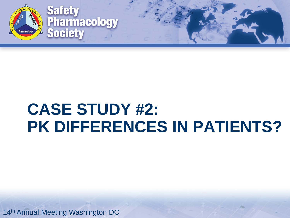

## **CASE STUDY #2: PK DIFFERENCES IN PATIENTS?**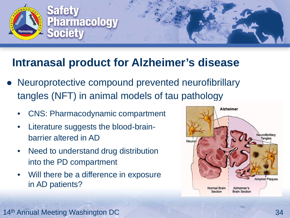

#### **Intranasal product for Alzheimer's disease**

- Neuroprotective compound prevented neurofibrillary tangles (NFT) in animal models of tau pathology
	- CNS: Pharmacodynamic compartment
	- Literature suggests the blood-brainbarrier altered in AD
	- Need to understand drug distribution into the PD compartment
	- Will there be a difference in exposure in AD patients?

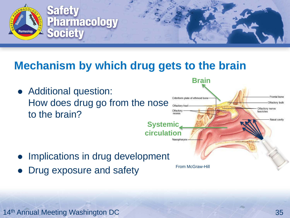

#### **Mechanism by which drug gets to the brain**

**Brain** Additional question: rontal bone Cribriform plate of ethmoid bone How does drug go from the nose **Ilfactory bult** Olfactory tr **Mactory nerve** Olfactor to the brain? recess Nasal cavity **Systemic circulation** Nasopharynx Implications in drug development From McGraw-Hill Drug exposure and safety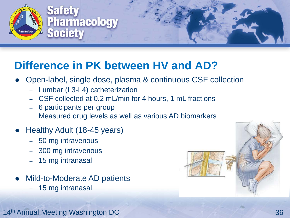

#### **Difference in PK between HV and AD?**

- Open-label, single dose, plasma & continuous CSF collection
	- Lumbar (L3-L4) catheterization
	- CSF collected at 0.2 mL/min for 4 hours, 1 mL fractions
	- 6 participants per group
	- Measured drug levels as well as various AD biomarkers
- Healthy Adult (18-45 years)
	- 50 mg intravenous
	- 300 mg intravenous
	- 15 mg intranasal
- Mild-to-Moderate AD patients
	- 15 mg intranasal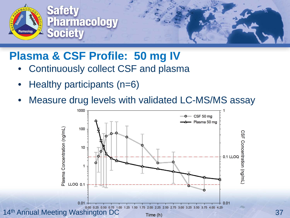

#### **Plasma & CSF Profile: 50 mg IV**

- Continuously collect CSF and plasma
- Healthy participants (n=6)
- Measure drug levels with validated LC-MS/MS assay

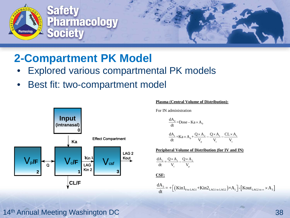

#### **2-Compartment PK Model**

- Explored various compartmental PK models
- Best fit: two-compartment model



#### **Plasma (Central Volume of Distribution):**

For IN administration

$$
\frac{dA_0}{dt} = \text{Dose} - \text{Ka} \times A_0
$$

$$
\frac{dA_1}{dt} = Ka \times A_0 + \frac{Q \times A_2}{V_p} - \frac{Q \times A_1}{V_c} - \frac{CL \times A_1}{V_c}
$$

**Peripheral Volume of Distribution (for IV and IN)**

$$
\frac{dA_2}{dt} = \frac{Q \times A_1}{V_c} - \frac{Q \times A_2}{V_p}
$$

**CSF:**

$$
\frac{dA_3}{dt}\!=+\!\Big[\Big(Kin\textbf{1}_{0\text{ to LAG1}}+\!Kin\textbf{2}_{\text{LAG1 to LAG2}}\Big)\!\times\!A_1\Big]\!\cdot\!\Big[Kout_{\text{LAG2 to }\infty}\!\times\!A_3\Big]
$$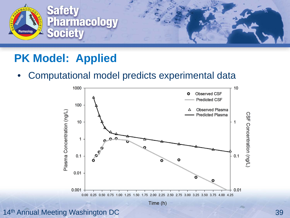

#### **PK Model: Applied**

• Computational model predicts experimental data

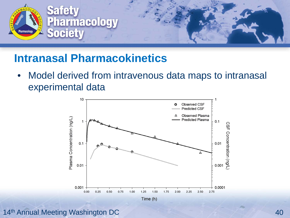

#### **Intranasal Pharmacokinetics**

• Model derived from intravenous data maps to intranasal experimental data

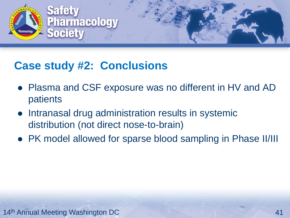

#### **Case study #2: Conclusions**

- Plasma and CSF exposure was no different in HV and AD patients
- Intranasal drug administration results in systemic distribution (not direct nose-to-brain)
- PK model allowed for sparse blood sampling in Phase II/III